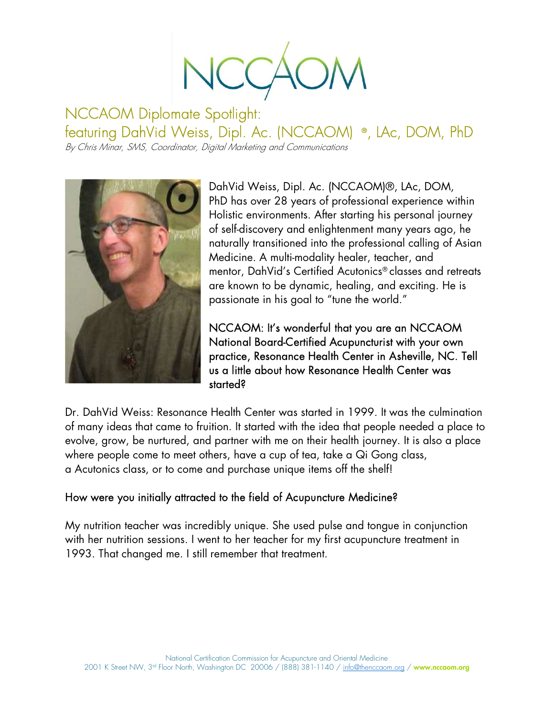NCCA

NCCAOM Diplomate Spotlight: featuring DahVid Weiss, Dipl. Ac. (NCCAOM) ® , LAc, DOM, PhD

By Chris Minar, SMS, Coordinator, Digital Marketing and Communications



DahVid Weiss, Dipl. Ac. (NCCAOM)®, LAc, DOM, PhD has over 28 years of professional experience within Holistic environments. After starting his personal journey of self-discovery and enlightenment many years ago, he naturally transitioned into the professional calling of Asian Medicine. A multi-modality healer, teacher, and mentor, DahVid's Certified Acutonics® classes and retreats are known to be dynamic, healing, and exciting. He is passionate in his goal to "tune the world."

NCCAOM: It's wonderful that you are an NCCAOM National Board-Certified Acupuncturist with your own practice, Resonance Health Center in Asheville, NC. Tell us a little about how Resonance Health Center was started?

Dr. DahVid Weiss: Resonance Health Center was started in 1999. It was the culmination of many ideas that came to fruition. It started with the idea that people needed a place to evolve, grow, be nurtured, and partner with me on their health journey. It is also a place where people come to meet others, have a cup of tea, take a Qi Gong class, a Acutonics class, or to come and purchase unique items off the shelf!

## How were you initially attracted to the field of Acupuncture Medicine?

My nutrition teacher was incredibly unique. She used pulse and tongue in conjunction with her nutrition sessions. I went to her teacher for my first acupuncture treatment in 1993. That changed me. I still remember that treatment.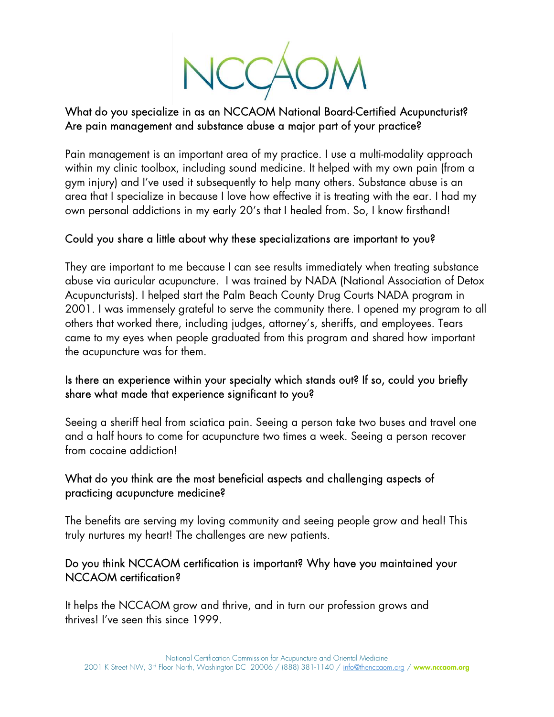NCCA

# What do you specialize in as an NCCAOM National Board-Certified Acupuncturist? Are pain management and substance abuse a major part of your practice?

Pain management is an important area of my practice. I use a multi-modality approach within my clinic toolbox, including sound medicine. It helped with my own pain (from a gym injury) and I've used it subsequently to help many others. Substance abuse is an area that I specialize in because I love how effective it is treating with the ear. I had my own personal addictions in my early 20's that I healed from. So, I know firsthand!

## Could you share a little about why these specializations are important to you?

They are important to me because I can see results immediately when treating substance abuse via auricular acupuncture. I was trained by NADA (National Association of Detox Acupuncturists). I helped start the Palm Beach County Drug Courts NADA program in 2001. I was immensely grateful to serve the community there. I opened my program to all others that worked there, including judges, attorney's, sheriffs, and employees. Tears came to my eyes when people graduated from this program and shared how important the acupuncture was for them.

## Is there an experience within your specialty which stands out? If so, could you briefly share what made that experience significant to you?

Seeing a sheriff heal from sciatica pain. Seeing a person take two buses and travel one and a half hours to come for acupuncture two times a week. Seeing a person recover from cocaine addiction!

#### What do you think are the most beneficial aspects and challenging aspects of practicing acupuncture medicine?

The benefits are serving my loving community and seeing people grow and heal! This truly nurtures my heart! The challenges are new patients.

## Do you think NCCAOM certification is important? Why have you maintained your NCCAOM certification?

It helps the NCCAOM grow and thrive, and in turn our profession grows and thrives! I've seen this since 1999.